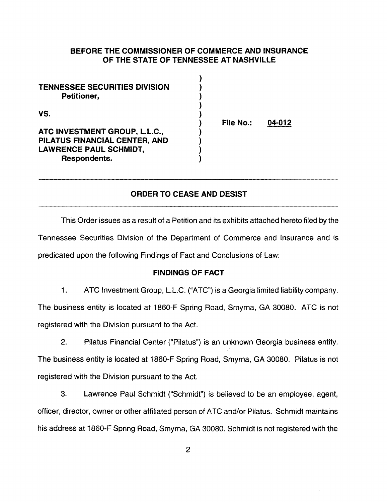## **BEFORE THE COMMISSIONER OF COMMERCE AND INSURANCE OF THE STATE OF TENNESSEE AT NASHVILLE**

| <b>TENNESSEE SECURITIES DIVISION</b><br>Petitioner,                                                                    |           |        |
|------------------------------------------------------------------------------------------------------------------------|-----------|--------|
| VS.<br>ATC INVESTMENT GROUP, L.L.C.,<br>PILATUS FINANCIAL CENTER, AND<br><b>LAWRENCE PAUL SCHMIDT,</b><br>Respondents. | File No.: | 04-012 |

### **ORDER TO CEASE AND DESIST**

This Order issues as a result of a Petition and its exhibits attached hereto filed by the Tennessee Securities Division of the Department of Commerce and Insurance and is predicated upon the following Findings of Fact and Conclusions of Law:

#### **FINDINGS OF FACT**

1. ATC Investment Group, L.L.C. ("ATC") is a Georgia limited liability company. The business entity is located at 1860-F Spring Road, Smyrna, GA 30080. ATC is not registered with the Division pursuant to the Act.

2. Pilatus Financial Center ("Pilatus") is an unknown Georgia business entity. The business entity is located at 1860-F Spring Road, Smyrna, GA 30080. Pilatus is not registered with the Division pursuant to the Act.

3. Lawrence Paul Schmidt ("Schmidt") is believed to be an employee, agent, officer, director, owner or other affiliated person of ATC and/or Pilatus. Schmidt maintains his address at 1860-F Spring Road, Smyrna, GA 30080. Schmidt is not registered with the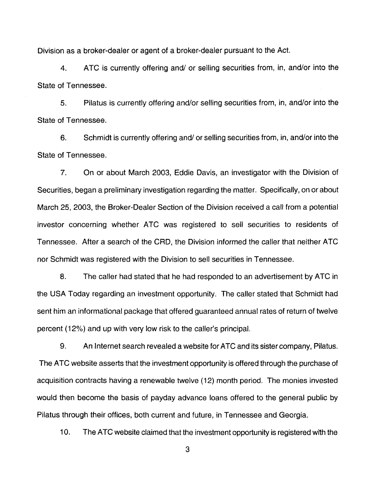Division as a broker-dealer or agent of a broker-dealer pursuant to the Act.

4. ATC is currently offering and/ or selling securities from, in, and/or into the State of Tennessee.

5. Pilatus is currently offering and/or selling securities from, in, and/or into the State of Tennessee.

6. Schmidt is currently offering and/ or selling securities from, in, and/or into the State of Tennessee.

7. On or about March 2003, Eddie Davis, an investigator with the Division of Securities, began a preliminary investigation regarding the matter. Specifically, on or about March 25, 2003, the Broker-Dealer Section of the Division received a call from a potential investor concerning whether ATC was registered to sell securities to residents of Tennessee. After a search of the CAD, the Division informed the caller that neither ATC nor Schmidt was registered with the Division to sell securities in Tennessee.

8. The caller had stated that he had responded to an advertisement by ATC in the USA Today regarding an investment opportunity. The caller stated that Schmidt had sent him an informational package that offered guaranteed annual rates of return of twelve percent (12%) and up with very low risk to the caller's principal.

9. An Internet search revealed a website for ATC and its sister company, Pilatus. The ATC website asserts that the investment opportunity is offered through the purchase of acquisition contracts having a renewable twelve (12) month period. The monies invested would then become the basis of payday advance loans offered to the general public by Pilatus through their offices, both current and future, in Tennessee and Georgia.

10. The ATC website claimed that the investment opportunity is registered with the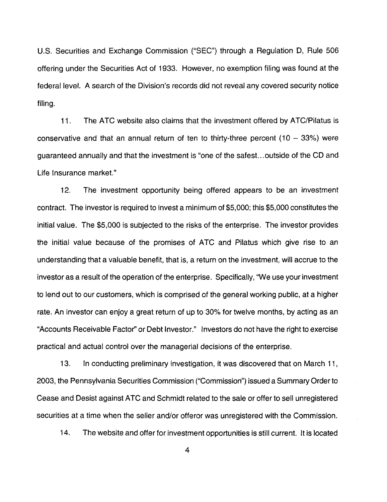U.S. Securities and Exchange Commission ("SEC") through a Regulation D, Rule 506 offering under the Securities Act of 1933. However, no exemption filing was found at the federal level. A search of the Division's records did not reveal any covered security notice filing.

11. The ATC website also claims that the investment offered by ATC/Pilatus is conservative and that an annual return of ten to thirty-three percent  $(10 - 33%)$  were guaranteed annually and that the investment is "one of the safest. .. outside of the CD and Life Insurance market."

12. The investment opportunity being offered appears to be an investment contract. The investor is required to invest a minimum of \$5,000; this \$5,000 constitutes the initial value. The \$5,000 is subjected to the risks of the enterprise. The investor provides the initial value because of the promises of ATC and Pilatus which give rise to an understanding that a valuable benefit, that is, a return on the investment, will accrue to the investor as a result of the operation of the enterprise. Specifically, "We use your investment to lend out to our customers, which is comprised of the general working public, at a higher rate. An investor can enjoy a great return of up to 30% for twelve months, by acting as an "Accounts Receivable Factor'' or Debt Investor." Investors do not have the right to exercise practical and actual control over the managerial decisions of the enterprise.

13. In conducting preliminary investigation, it was discovered that on March 11, 2003, the Pennsylvania Securities Commission ("Commission") issued a Summary Order to Cease and Desist against ATC and Schmidt related to the sale or offer to sell unregistered securities at a time when the seller and/or offeror was unregistered with the Commission.

14. The website and offer for investment opportunities is still current. It is located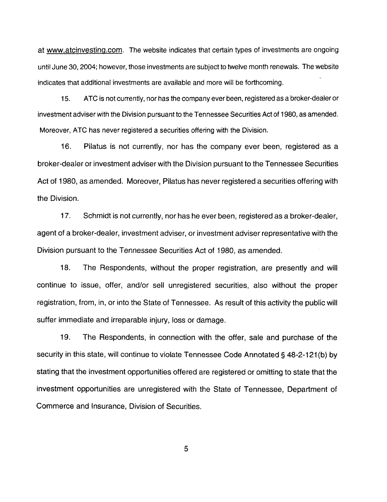at www.atcinvesting.com. The website indicates that certain types of investments are ongoing until June 30, 2004; however, those investments are subject to twelve month renewals. The website indicates that additional investments are available and more will be forthcoming.

15. ATC is not currently, nor has the company ever been, registered as a broker-dealer or investment adviser with the Division pursuant to the Tennessee Securities Act of 1980, as amended. Moreover, ATC has never registered a securities offering with the Division.

16. Pilatus is not currently, nor has the company ever been, registered as a broker-dealer or investment adviser with the Division pursuant to the Tennessee Securities Act of 1980, as amended. Moreover, Pilatus has never registered a securities offering with the Division.

17. Schmidt is not currently, nor has he ever been, registered as a broker-dealer, agent of a broker-dealer, investment adviser, or investment adviser representative with the Division pursuant to the Tennessee Securities Act of 1980, as amended.

18. The Respondents, without the proper registration, are presently and will continue to issue, offer, and/or sell unregistered securities, also without the proper registration, from, in, or into the State of Tennessee. As result of this activity the public will suffer immediate and irreparable injury, loss or damage.

19. The Respondents, in connection with the offer, sale and purchase of the security in this state, will continue to violate Tennessee Code Annotated§ 48-2-121(b) by stating that the investment opportunities offered are registered or omitting to state that the investment opportunities are unregistered with the State of Tennessee, Department of Commerce and Insurance, Division of Securities.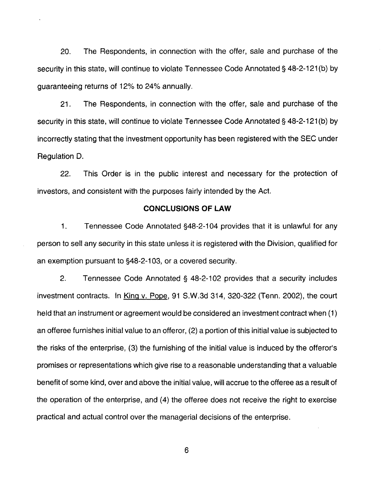20. The Respondents, in connection with the offer, sale and purchase of the security in this state, will continue to violate Tennessee Code Annotated § 48-2-121(b) by guaranteeing returns of 12% to 24% annually.

21. The Respondents, in connection with the offer, sale and purchase of the security in this state, will continue to violate Tennessee Code Annotated § 48-2-121(b) by incorrectly stating that the investment opportunity has been registered with the SEC under Regulation D.

22. This Order is in the public interest and necessary for the protection of investors, and consistent with the purposes fairly intended by the Act.

## **CONCLUSIONS OF LAW**

1. Tennessee Code Annotated §48-2-1 04 provides that it is unlawful for any person to sell any security in this state unless it is registered with the Division, qualified for an exemption pursuant to §48-2-1 03, or a covered security.

2. Tennessee Code Annotated§ 48-2-102 provides that a security includes investment contracts. In King v. Pope, 91 S.W.3d 314, 320-322 (Tenn. 2002), the court held that an instrument or agreement would be considered an investment contract when (1) an offeree furnishes initial value to an offeror, (2) a portion of this initial value is subjected to the risks of the enterprise, (3) the furnishing of the initial value is induced by the offeror's promises or representations which give rise to a reasonable understanding that a valuable benefit of some kind, over and above the initial value, will accrue to the offeree as a result of the operation of the enterprise, and (4) the offeree does not receive the right to exercise practical and actual control over the managerial decisions of the enterprise.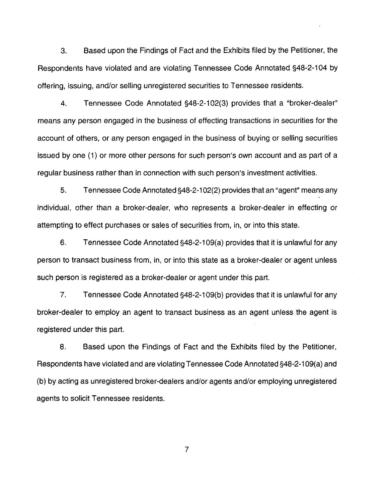3. Based upon the Findings of Fact and the Exhibits filed by the Petitioner, the Respondents have violated and are violating Tennessee Code Annotated §48-2-104 by offering, issuing, and/or selling unregistered securities to Tennessee residents.

4. Tennessee Code Annotated §48-2-1 02(3) provides that a "broker-dealer" means any person engaged in the business of effecting transactions in securities for the account of others, or any person engaged in the business of buying or selling securities issued by one (1) or more other persons for such person's own account and as part of a regular business rather than in connection with such person's investment activities.

5. Tennessee Code Annotated §48-2-1 02(2) provides that an "agent" means any individual, other than a broker-dealer, who represents a broker-dealer in effecting or attempting to effect purchases or sales of securities from, in, or into this state.

6. Tennessee Code Annotated §48-2-1 09(a) provides that it is unlawful for any person to transact business from, in, or into this state as a broker-dealer or agent unless such person is registered as a broker-dealer or agent under this part.

7. Tennessee Code Annotated §48-2-1 09(b) provides that it is unlawful for any broker-dealer to employ an agent to transact business as an agent unless the agent is registered under this part.

8. Based upon the Findings of Fact and the Exhibits filed by the Petitioner, Respondents have violated and are violating Tennessee Code Annotated §48-2-1 09(a) and (b) by acting as unregistered broker-dealers and/or agents and/or employing unregistered agents to solicit Tennessee residents.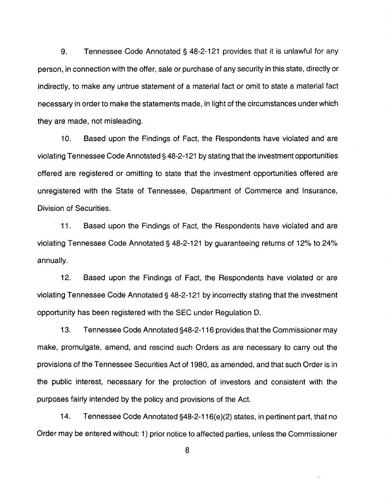9. Tennessee Code Annotated § 48-2-121 provides that it is unlawful for any person, in connection with the offer, sale or purchase of any security in this state, directly or indirectly, to make any untrue statement of a material fact or omit to state a material fact necessary in order to make the statements made, in light of the circumstances under which they are made, not misleading.

10. Based upon the Findings of Fact, the Respondents have violated and are violating Tennessee Code Annotated§ 48-2-121 by stating that the investment opportunities offered are registered or omitting to state that the investment opportunities offered are unregistered with the State of Tennessee, Department of Commerce and Insurance, Division of Securities.

11. Based upon the Findings of Fact, the Respondents have violated and are violating Tennessee Code Annotated§ 48-2-121 by guaranteeing returns of 12% to 24% annually.

12. Based upon the Findings of Fact, the Respondents have violated or are violating Tennessee Code Annotated § 48-2-121 by incorrectly stating that the investment opportunity has been registered with the SEC under Regulation D.

13. Tennessee Code Annotated §48-2-116 provides that the Commissioner may make, promulgate, amend, and rescind such Orders as are necessary to carry out the provisions of the Tennessee Securities Act of 1980, as amended, and that such Order is in the public interest, necessary for the protection of investors and consistent with the purposes fairly intended by the policy and provisions of the Act.

14. Tennessee Code Annotated §48-2-116(e)(2) states, in pertinent part, that no Order may be entered without: 1) prior notice to affected parties, unless the Commissioner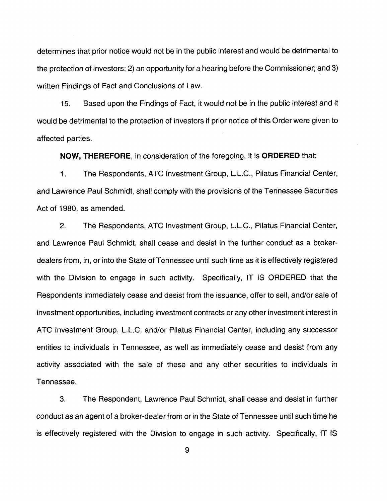determines that prior notice would not be in the public interest and would be detrimental to the protection of investors; 2) an opportunity tor a hearing before the Commissioner; and 3) written Findings of Fact and Conclusions of Law.

15. Based upon the Findings of Fact, it would not be in the public interest and it would be detrimental to the protection of investors if prior notice of this Order were given to affected parties.

**NOW, THEREFORE,** in consideration of the foregoing, it is **ORDERED** that:

1. The Respondents, ATC Investment Group, L.L.C., Pilatus Financial Center, and Lawrence Paul Schmidt, shall comply with the provisions of the Tennessee Securities Act of 1980, as amended.

2. The Respondents, ATC Investment Group, L.L.C., Pilatus Financial Center, and Lawrence Paul Schmidt, shall cease and desist in the further conduct as a brokerdealers from, in, or into the State of Tennessee until such time as it is effectively registered with the Division to engage in such activity. Specifically, IT IS ORDERED that the Respondents immediately cease and desist from the issuance, offer to sell, and/or sale of investment opportunities, including investment contracts or any other investment interest in ATC Investment Group, L.L.C. and/or Pilatus Financial Center, including any successor entities to individuals in Tennessee, as well as immediately cease and desist from any activity associated with the sale of these and any other securities to individuals in Tennessee.

3. The Respondent, Lawrence Paul Schmidt, shall cease and desist in further conduct as an agent of a broker-dealerfrom or in the State of Tennessee until such time he is effectively registered with the Division to engage in such activity. Specifically, IT IS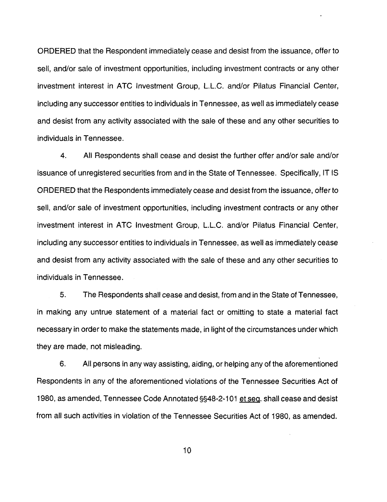ORDERED that the Respondent immediately cease and desist from the issuance, offer to sell, and/or sale of investment opportunities, including investment contracts or any other investment interest in ATC Investment Group, L.L.C. and/or Pilatus Financial Center, including any successor entities to individuals in Tennessee, as well as immediately cease and desist from any activity associated with the sale of these and any other securities to individuals in Tennessee.

4. All Respondents shall cease and desist the further offer and/or sale and/or issuance of unregistered securities from and in the State of Tennessee. Specifically, IT IS ORDERED that the Respondents immediately cease and desist from the issuance, offer to sell, and/or sale of investment opportunities, including investment contracts or any other investment interest in ATC Investment Group, L.L.C. and/or Pilatus Financial Center, including any successor entities to individuals in Tennessee, as well as immediately cease and desist from any activity associated with the sale of these and any other securities to individuals in Tennessee.

5. The Respondents shall cease and desist, from and in the State of Tennessee, in making any untrue statement of a material fact or omitting to state a material fact necessary in order to make the statements made, in light of the circumstances under which they are made, not misleading.

6. All persons in any way assisting, aiding, or helping any of the aforementioned Respondents in any of the aforementioned violations of the Tennessee Securities Act of 1980, as amended, Tennessee Code Annotated §§48-2-101 et seq. shall cease and desist from all such activities in violation of the Tennessee Securities Act of 1980, as amended.